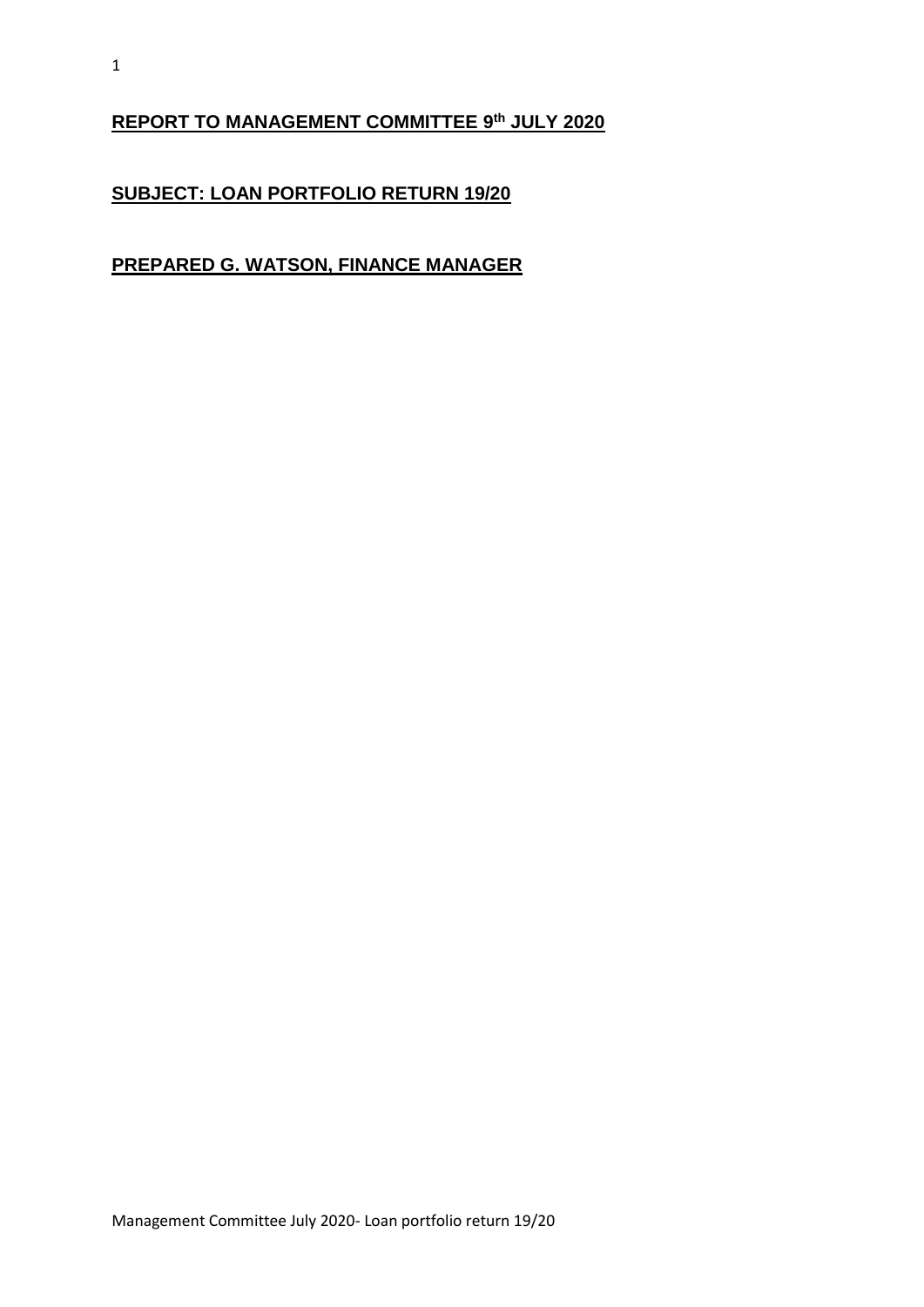#### **REPORT TO MANAGEMENT COMMITTEE 9 th JULY 2020**

### **SUBJECT: LOAN PORTFOLIO RETURN 19/20**

#### **PREPARED G. WATSON, FINANCE MANAGER**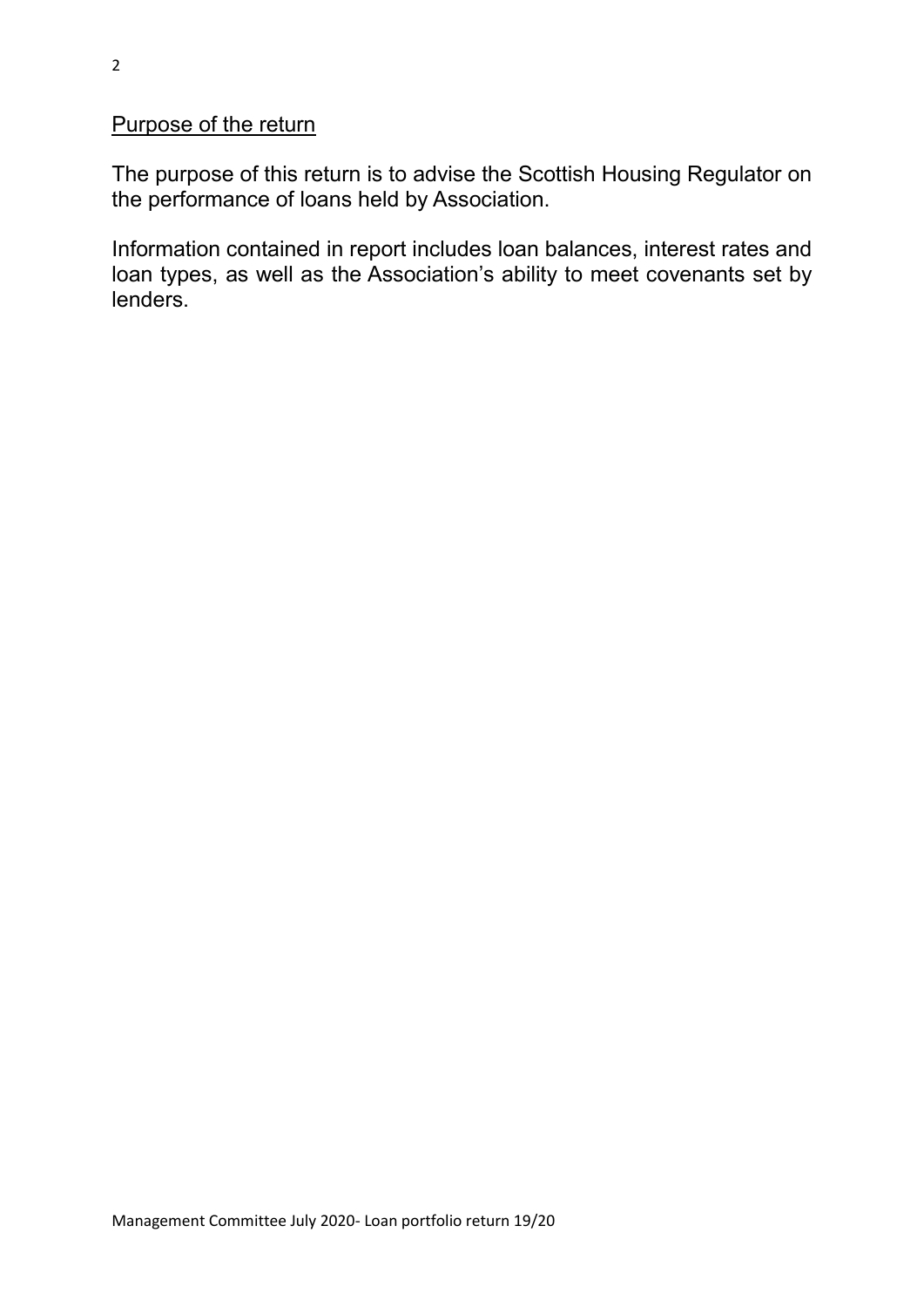### Purpose of the return

The purpose of this return is to advise the Scottish Housing Regulator on the performance of loans held by Association.

Information contained in report includes loan balances, interest rates and loan types, as well as the Association's ability to meet covenants set by lenders.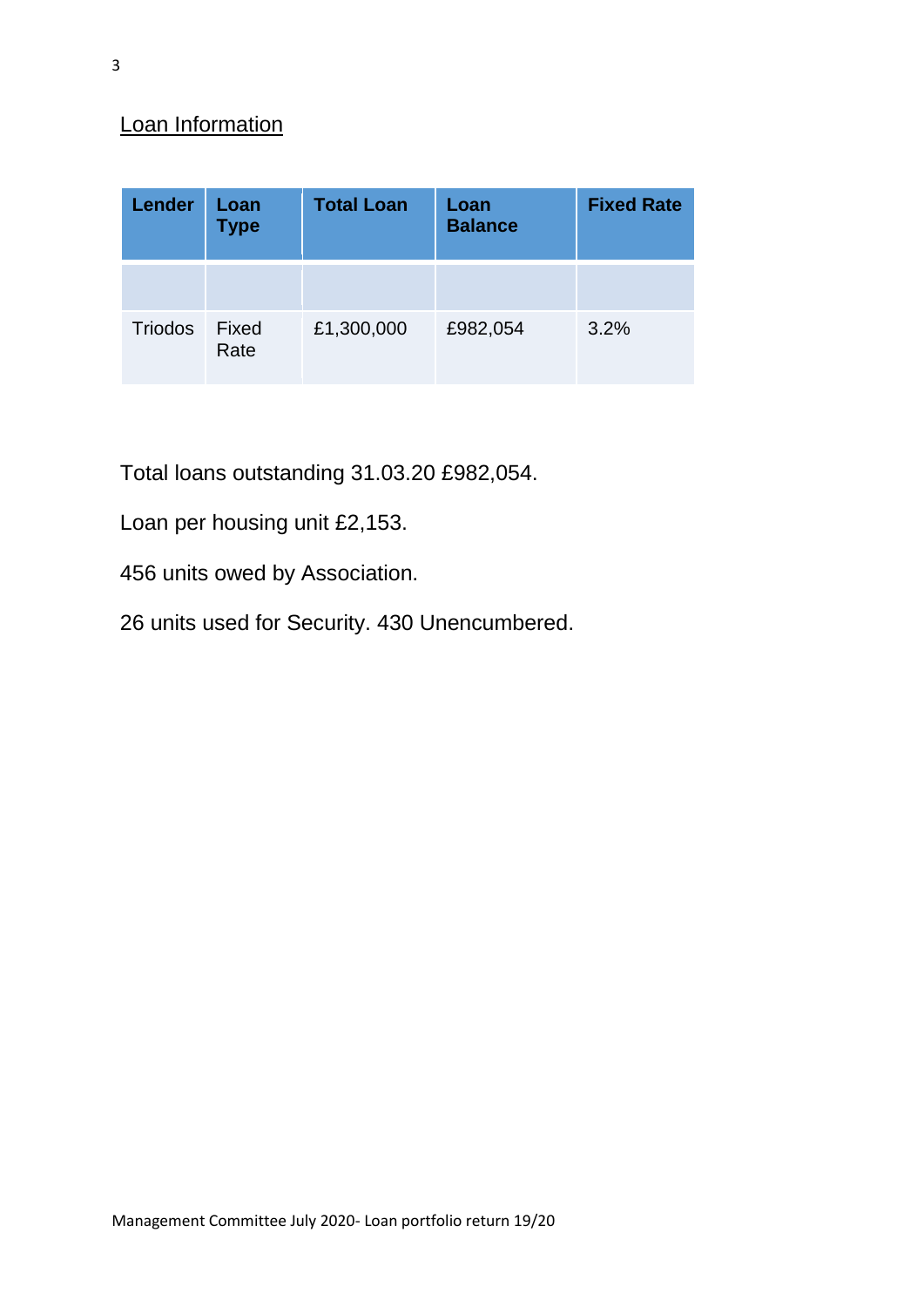# Loan Information

| <b>Lender</b>  | Loan<br><b>Type</b> | <b>Total Loan</b> | Loan<br><b>Balance</b> | <b>Fixed Rate</b> |
|----------------|---------------------|-------------------|------------------------|-------------------|
|                |                     |                   |                        |                   |
| <b>Triodos</b> | Fixed<br>Rate       | £1,300,000        | £982,054               | 3.2%              |

Total loans outstanding 31.03.20 £982,054.

Loan per housing unit £2,153.

456 units owed by Association.

26 units used for Security. 430 Unencumbered.